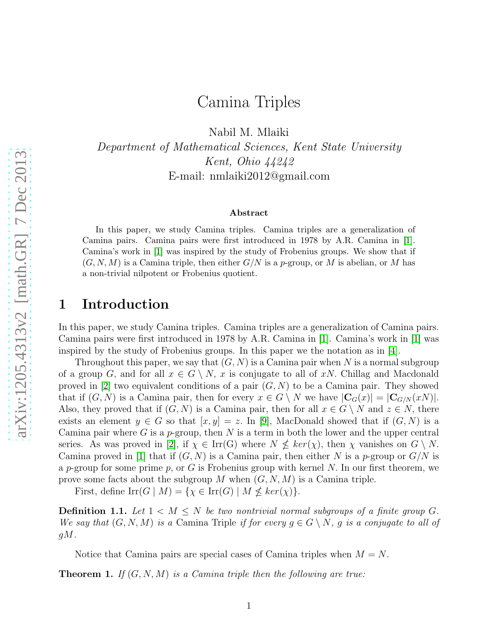# Camina Triples

Nabil M. Mlaiki

*Department of Mathematical Sciences, Kent State University Kent, Ohio 44242* E-mail: nmlaiki2012@gmail.com

#### Abstract

In this paper, we study Camina triples. Camina triples are a generalization of Camina pairs. Camina pairs were first introduced in 1978 by A.R. Camina in [\[1\]](#page-6-0). Camina's work in [\[1\]](#page-6-0) was inspired by the study of Frobenius groups. We show that if  $(G, N, M)$  is a Camina triple, then either  $G/N$  is a p-group, or M is abelian, or M has a non-trivial nilpotent or Frobenius quotient.

## 1 Introduction

In this paper, we study Camina triples. Camina triples are a generalization of Camina pairs. Camina pairs were first introduced in 1978 by A.R. Camina in [\[1\]](#page-6-0). Camina's work in [\[1\]](#page-6-0) was inspired by the study of Frobenius groups. In this paper we the notation as in [\[4\]](#page-6-1).

Throughout this paper, we say that  $(G, N)$  is a Camina pair when N is a normal subgroup of a group G, and for all  $x \in G \setminus N$ , x is conjugate to all of xN. Chillag and Macdonald proved in [\[2\]](#page-6-2) two equivalent conditions of a pair  $(G, N)$  to be a Camina pair. They showed that if  $(G, N)$  is a Camina pair, then for every  $x \in G \setminus N$  we have  $|\mathbf{C}_G(x)| = |\mathbf{C}_{G/N}(xN)|$ . Also, they proved that if  $(G, N)$  is a Camina pair, then for all  $x \in G \setminus N$  and  $z \in N$ , there exists an element  $y \in G$  so that  $[x, y] = z$ . In [\[9\]](#page-7-0), MacDonald showed that if  $(G, N)$  is a Camina pair where G is a  $p$ -group, then N is a term in both the lower and the upper central series. As was proved in [\[2\]](#page-6-2), if  $\chi \in \text{Irr}(G)$  where  $N \nleq ker(\chi)$ , then  $\chi$  vanishes on  $G \setminus N$ . Camina proved in [\[1\]](#page-6-0) that if  $(G, N)$  is a Camina pair, then either N is a p-group or  $G/N$  is a p-group for some prime p, or G is Frobenius group with kernel N. In our first theorem, we prove some facts about the subgroup M when  $(G, N, M)$  is a Camina triple.

First, define  $\mathrm{Irr}(G \mid M) = \{ \chi \in \mathrm{Irr}(G) \mid M \nleq \ker(\chi) \}.$ 

**Definition 1.1.** Let  $1 \lt M \lt N$  be two nontrivial normal subgroups of a finite group G. *We say that*  $(G, N, M)$  *is a* Camina Triple *if for every*  $g \in G \setminus N$ , *g is a conjugate to all of* gM*.*

Notice that Camina pairs are special cases of Camina triples when  $M = N$ .

Theorem 1. *If* (G, N, M) *is a Camina triple then the following are true:*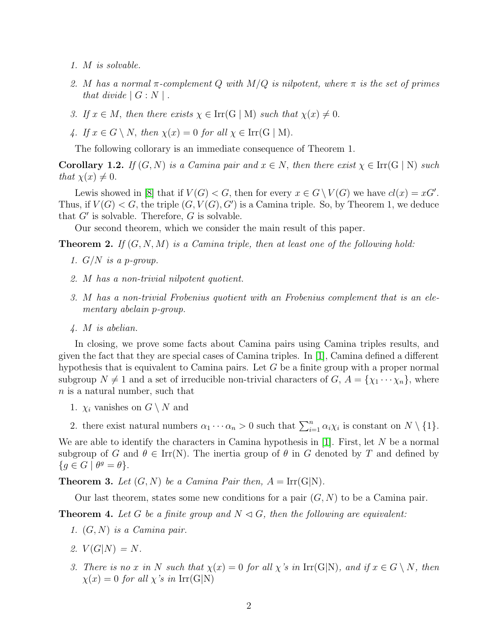- *1.* M *is solvable.*
- *2.* M *has a normal* π*-complement* Q *with* M/Q *is nilpotent, where* π *is the set of primes that divide*  $|G: N|$ .
- *3.* If  $x \in M$ , then there exists  $\chi \in \text{Irr}(G \mid M)$  such that  $\chi(x) \neq 0$ .
- 4. If  $x \in G \setminus N$ , then  $\chi(x) = 0$  for all  $\chi \in \text{Irr}(G \mid M)$ .

The following collorary is an immediate consequence of Theorem 1.

**Corollary 1.2.** *If*  $(G, N)$  *is a Camina pair and*  $x \in N$ , *then there exist*  $\chi \in \text{Irr}(G \mid N)$  *such that*  $\chi(x) \neq 0$ .

Lewis showed in [\[8\]](#page-7-1) that if  $V(G) < G$ , then for every  $x \in G \setminus V(G)$  we have  $cl(x) = xG'$ . Thus, if  $V(G) < G$ , the triple  $(G, V(G), G')$  is a Camina triple. So, by Theorem 1, we deduce that  $G'$  is solvable. Therefore,  $G$  is solvable.

Our second theorem, which we consider the main result of this paper.

Theorem 2. *If* (G, N, M) *is a Camina triple, then at least one of the following hold:*

- *1.* G/N *is a* p*-group.*
- *2.* M *has a non-trivial nilpotent quotient.*
- *3.* M *has a non-trivial Frobenius quotient with an Frobenius complement that is an elementary abelain* p*-group.*
- *4.* M *is abelian.*

In closing, we prove some facts about Camina pairs using Camina triples results, and given the fact that they are special cases of Camina triples. In [\[1\]](#page-6-0), Camina defined a different hypothesis that is equivalent to Camina pairs. Let G be a finite group with a proper normal subgroup  $N \neq 1$  and a set of irreducible non-trivial characters of  $G, A = \{\chi_1 \cdots \chi_n\}$ , where n is a natural number, such that

- 1.  $\chi_i$  vanishes on  $G \setminus N$  and
- 2. there exist natural numbers  $\alpha_1 \cdots \alpha_n > 0$  such that  $\sum_{i=1}^n \alpha_i \chi_i$  is constant on  $N \setminus \{1\}$ .

We are able to identify the characters in Camina hypothesis in  $[1]$ . First, let N be a normal subgroup of G and  $\theta \in \text{Irr}(N)$ . The inertia group of  $\theta$  in G denoted by T and defined by  ${g \in G \mid \theta^g = \theta}.$ 

**Theorem 3.** Let  $(G, N)$  be a Camina Pair then,  $A = \text{Irr}(G|N)$ .

Our last theorem, states some new conditions for a pair  $(G, N)$  to be a Camina pair.

**Theorem 4.** Let G be a finite group and  $N \triangleleft G$ , then the following are equivalent:

- *1.* (G, N) *is a Camina pair.*
- 2.  $V(G|N) = N$ .
- *3. There is no* x *in* N such that  $\chi(x) = 0$  for all  $\chi$ 's *in* Irr(G|N)*, and if*  $x \in G \setminus N$ *, then*  $\chi(x) = 0$  *for all*  $\chi$ 's *in* Irr(G|N)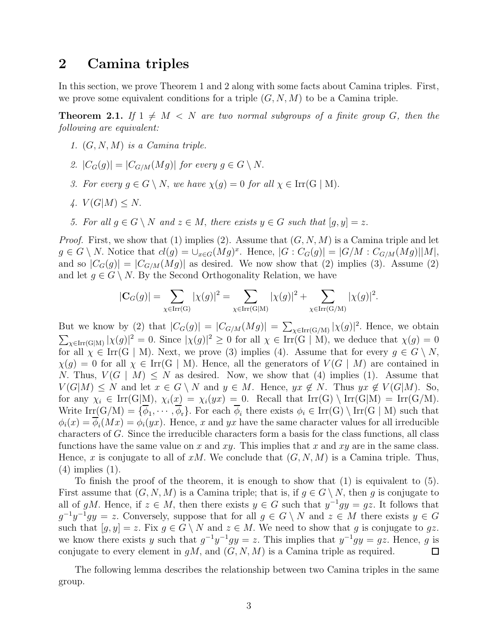### 2 Camina triples

In this section, we prove Theorem 1 and 2 along with some facts about Camina triples. First, we prove some equivalent conditions for a triple  $(G, N, M)$  to be a Camina triple.

<span id="page-2-0"></span>**Theorem 2.1.** If  $1 \neq M < N$  are two normal subgroups of a finite group G, then the *following are equivalent:*

- *1.* (G, N, M) *is a Camina triple.*
- 2.  $|C_G(g)| = |C_{G/M}(Mg)|$  *for every*  $g \in G \setminus N$ .
- *3. For every*  $g \in G \setminus N$ , *we have*  $\chi(g) = 0$  *for all*  $\chi \in \text{Irr}(G \mid M)$ .
- *4.*  $V(G|M) \leq N$ .
- *5. For all*  $g \in G \setminus N$  *and*  $z \in M$ , *there exists*  $y \in G$  *such that*  $[g, y] = z$ .

*Proof.* First, we show that (1) implies (2). Assume that  $(G, N, M)$  is a Camina triple and let  $g \in G \setminus N$ . Notice that  $cl(g) = \bigcup_{x \in G}(Mg)^x$ . Hence,  $|G : C_G(g)| = |G/M : C_{G/M}(Mg)||M|$ , and so  $|C_G(g)| = |C_{G/M}(Mg)|$  as desired. We now show that (2) implies (3). Assume (2) and let  $q \in G \setminus N$ . By the Second Orthogonality Relation, we have

$$
|\mathbf{C}_G(g)| = \sum_{\chi \in \text{Irr}(G)} |\chi(g)|^2 = \sum_{\chi \in \text{Irr}(G|M)} |\chi(g)|^2 + \sum_{\chi \in \text{Irr}(G/M)} |\chi(g)|^2.
$$

But we know by (2) that  $|C_G(g)| = |C_{G/M}(Mg)| = \sum_{\chi \in \text{Irr}(G/M)} |\chi(g)|^2$ . Hence, we obtain  $\sum_{\chi \in \text{Irr}(G|M)} |\chi(g)|^2 = 0.$  Since  $|\chi(g)|^2 \ge 0$  for all  $\chi \in \text{Irr}(G | M)$ , we deduce that  $\chi(g) = 0$ for all  $\chi \in \text{Irr}(G \mid M)$ . Next, we prove (3) implies (4). Assume that for every  $g \in G \setminus N$ ,  $\chi(g) = 0$  for all  $\chi \in \text{Irr}(G \mid M)$ . Hence, all the generators of  $V(G \mid M)$  are contained in N. Thus,  $V(G \mid M) \leq N$  as desired. Now, we show that (4) implies (1). Assume that  $V(G|M) \leq N$  and let  $x \in G \setminus N$  and  $y \in M$ . Hence,  $yx \notin N$ . Thus  $yx \notin V(G|M)$ . So, for any  $\chi_i \in \text{Irr}(G|M)$ ,  $\chi_i(x) = \chi_i(yx) = 0$ . Recall that  $\text{Irr}(G) \setminus \text{Irr}(G|M) = \text{Irr}(G/M)$ . Write  $\text{Irr}(G/M) = \{\phi_1, \cdots, \phi_r\}$ . For each  $\phi_i$  there exists  $\phi_i \in \text{Irr}(G) \setminus \text{Irr}(G \mid M)$  such that  $\phi_i(x) = \phi_i(Mx) = \phi_i(yx)$ . Hence, x and yx have the same character values for all irreducible characters of G. Since the irreducible characters form a basis for the class functions, all class functions have the same value on x and xy. This implies that x and xy are in the same class. Hence, x is conjugate to all of  $xM$ . We conclude that  $(G, N, M)$  is a Camina triple. Thus, (4) implies (1).

To finish the proof of the theorem, it is enough to show that (1) is equivalent to (5). First assume that  $(G, N, M)$  is a Camina triple; that is, if  $g \in G \setminus N$ , then g is conjugate to all of gM. Hence, if  $z \in M$ , then there exists  $y \in G$  such that  $y^{-1}gy = gz$ . It follows that  $g^{-1}y^{-1}gy = z$ . Conversely, suppose that for all  $g \in G \setminus N$  and  $z \in M$  there exists  $y \in G$ such that  $[g, y] = z$ . Fix  $g \in G \setminus N$  and  $z \in M$ . We need to show that g is conjugate to gz. we know there exists y such that  $g^{-1}y^{-1}gy = z$ . This implies that  $y^{-1}gy = gz$ . Hence, g is conjugate to every element in  $gM$ , and  $(G, N, M)$  is a Camina triple as required.  $\Box$ 

The following lemma describes the relationship between two Camina triples in the same group.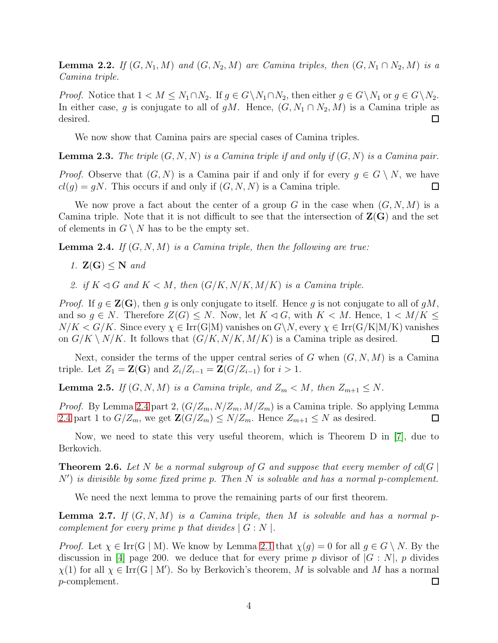**Lemma 2.2.** *If*  $(G, N_1, M)$  *and*  $(G, N_2, M)$  *are Camina triples, then*  $(G, N_1 \cap N_2, M)$  *is a Camina triple.*

*Proof.* Notice that  $1 < M \leq N_1 \cap N_2$ . If  $g \in G \setminus N_1 \cap N_2$ , then either  $g \in G \setminus N_1$  or  $g \in G \setminus N_2$ . In either case, g is conjugate to all of gM. Hence,  $(G, N_1 \cap N_2, M)$  is a Camina triple as desired.  $\Box$ 

We now show that Camina pairs are special cases of Camina triples.

<span id="page-3-2"></span>Lemma 2.3. *The triple* (G, N, N) *is a Camina triple if and only if* (G, N) *is a Camina pair.*

*Proof.* Observe that  $(G, N)$  is a Camina pair if and only if for every  $g \in G \setminus N$ , we have  $cl(g) = gN$ . This occurs if and only if  $(G, N, N)$  is a Camina triple.  $\Box$ 

We now prove a fact about the center of a group G in the case when  $(G, N, M)$  is a Camina triple. Note that it is not difficult to see that the intersection of  $\mathbf{Z}(\mathbf{G})$  and the set of elements in  $G \setminus N$  has to be the empty set.

<span id="page-3-0"></span>Lemma 2.4. *If* (G, N, M) *is a Camina triple, then the following are true:*

*1.* Z(G) ≤ N *and*

2. if  $K \triangleleft G$  and  $K \triangleleft M$ , then  $(G/K, N/K, M/K)$  is a Camina triple.

*Proof.* If  $g \in \mathbf{Z}(\mathbf{G})$ , then g is only conjugate to itself. Hence g is not conjugate to all of gM, and so  $g \in N$ . Therefore  $Z(G) \leq N$ . Now, let  $K \lhd G$ , with  $K \lhd M$ . Hence,  $1 \lhd M/K \leq$  $N/K < G/K$ . Since every  $\chi \in \text{Irr}(G|M)$  vanishes on  $G\backslash N$ , every  $\chi \in \text{Irr}(G/K|M/K)$  vanishes on  $G/K \setminus N/K$ . It follows that  $(G/K, N/K, M/K)$  is a Camina triple as desired.  $\Box$ 

Next, consider the terms of the upper central series of G when  $(G, N, M)$  is a Camina triple. Let  $Z_1 = \mathbf{Z}(\mathbf{G})$  and  $Z_i/Z_{i-1} = \mathbf{Z}(G/Z_{i-1})$  for  $i > 1$ .

**Lemma 2.5.** *If*  $(G, N, M)$  *is a Camina triple, and*  $Z_m < M$ *, then*  $Z_{m+1} \leq N$ *.* 

*Proof.* By Lemma [2.4](#page-3-0) part 2,  $(G/Z_m, N/Z_m, M/Z_m)$  is a Camina triple. So applying Lemma [2.4](#page-3-0) part 1 to  $G/Z_m$ , we get  $\mathbf{Z}(G/Z_m) \leq N/Z_m$ . Hence  $Z_{m+1} \leq N$  as desired.  $\Box$ 

Now, we need to state this very useful theorem, which is Theorem D in [\[7\]](#page-7-2), due to Berkovich.

**Theorem 2.6.** Let N be a normal subgroup of G and suppose that every member of  $cd(G)$ N′ ) *is divisible by some fixed prime* p. *Then* N *is solvable and has a normal* p*-complement.*

We need the next lemma to prove the remaining parts of our first theorem.

<span id="page-3-1"></span>Lemma 2.7. *If* (G, N, M) *is a Camina triple, then* M *is solvable and has a normal* p*complement for every prime p that divides*  $| G : N |$ *.* 

*Proof.* Let  $\chi \in \text{Irr}(G \mid M)$ . We know by Lemma [2.1](#page-2-0) that  $\chi(g) = 0$  for all  $g \in G \setminus N$ . By the discussion in [\[4\]](#page-6-1) page 200. we deduce that for every prime p divisor of  $|G: N|$ , p divides  $\chi(1)$  for all  $\chi \in \text{Irr}(\text{G} \mid \text{M}')$ . So by Berkovich's theorem, M is solvable and M has a normal p-complement. 口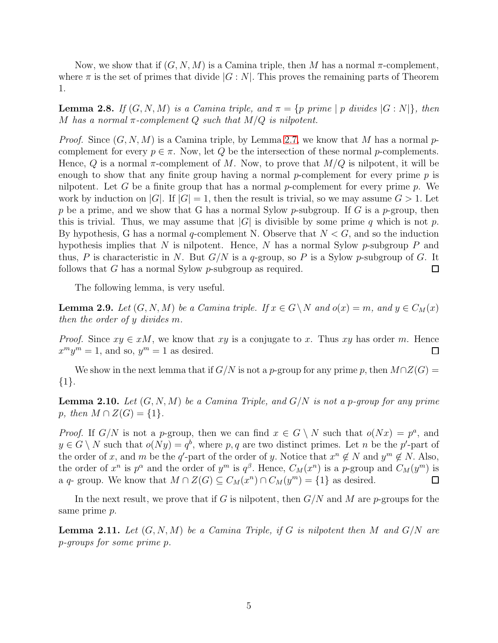Now, we show that if  $(G, N, M)$  is a Camina triple, then M has a normal  $\pi$ -complement, where  $\pi$  is the set of primes that divide  $|G: N|$ . This proves the remaining parts of Theorem 1.

<span id="page-4-3"></span>**Lemma 2.8.** *If*  $(G, N, M)$  *is a Camina triple, and*  $\pi = \{p \, \text{prime} \mid p \, \text{divides } |G: N|\}$ *, then* M has a normal  $\pi$ -complement Q such that  $M/Q$  is nilpotent.

*Proof.* Since  $(G, N, M)$  is a Camina triple, by Lemma [2.7,](#page-3-1) we know that M has a normal pcomplement for every  $p \in \pi$ . Now, let Q be the intersection of these normal p-complements. Hence, Q is a normal  $\pi$ -complement of M. Now, to prove that  $M/Q$  is nilpotent, it will be enough to show that any finite group having a normal p-complement for every prime  $p$  is nilpotent. Let G be a finite group that has a normal  $p$ -complement for every prime  $p$ . We work by induction on |G|. If  $|G| = 1$ , then the result is trivial, so we may assume  $G > 1$ . Let p be a prime, and we show that G has a normal Sylow p-subgroup. If G is a p-group, then this is trivial. Thus, we may assume that  $|G|$  is divisible by some prime q which is not p. By hypothesis, G has a normal q-complement N. Observe that  $N < G$ , and so the induction hypothesis implies that N is nilpotent. Hence, N has a normal Sylow  $p$ -subgroup P and thus, P is characteristic in N. But  $G/N$  is a q-group, so P is a Sylow p-subgroup of G. It follows that G has a normal Sylow p-subgroup as required.  $\Box$ 

The following lemma, is very useful.

<span id="page-4-1"></span>**Lemma 2.9.** *Let*  $(G, N, M)$  *be a Camina triple. If*  $x \in G \setminus N$  *and*  $o(x) = m$ *, and*  $y \in C_M(x)$ *then the order of* y *divides* m*.*

*Proof.* Since  $xy \in xM$ , we know that xy is a conjugate to x. Thus xy has order m. Hence  $x^m y^m = 1$ , and so,  $y^m = 1$  as desired.  $\Box$ 

We show in the next lemma that if  $G/N$  is not a p-group for any prime p, then  $M\cap Z(G)$  = {1}.

<span id="page-4-0"></span>Lemma 2.10. *Let* (G, N, M) *be a Camina Triple, and* G/N *is not a* p*-group for any prime* p, then  $M \cap Z(G) = \{1\}.$ 

*Proof.* If  $G/N$  is not a p-group, then we can find  $x \in G \setminus N$  such that  $o(Nx) = p^a$ , and  $y \in G \setminus N$  such that  $o(Ny) = q^b$ , where p, q are two distinct primes. Let n be the p'-part of the order of x, and m be the q'-part of the order of y. Notice that  $x^n \notin N$  and  $y^m \notin N$ . Also, the order of  $x^n$  is  $p^{\alpha}$  and the order of  $y^m$  is  $q^{\beta}$ . Hence,  $C_M(x^n)$  is a p-group and  $C_M(y^m)$  is a q- group. We know that  $M \cap Z(G) \subseteq C_M(x^n) \cap C_M(y^m) = \{1\}$  as desired.  $\Box$ 

In the next result, we prove that if G is nilpotent, then  $G/N$  and M are p-groups for the same prime p.

<span id="page-4-2"></span>Lemma 2.11. *Let* (G, N, M) *be a Camina Triple, if* G *is nilpotent then* M *and* G/N *are* p*-groups for some prime* p*.*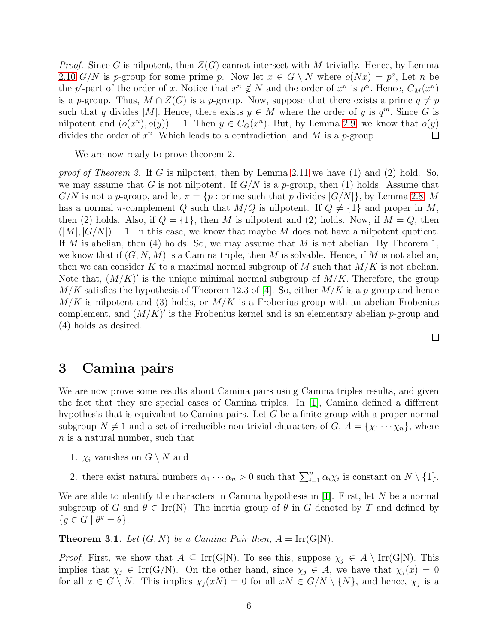*Proof.* Since G is nilpotent, then  $Z(G)$  cannot intersect with M trivially. Hence, by Lemma [2.10](#page-4-0) G/N is p-group for some prime p. Now let  $x \in G \setminus N$  where  $o(Nx) = p^a$ , Let n be the p'-part of the order of x. Notice that  $x^n \notin N$  and the order of  $x^n$  is  $p^{\alpha}$ . Hence,  $C_M(x^n)$ is a p-group. Thus,  $M \cap Z(G)$  is a p-group. Now, suppose that there exists a prime  $q \neq p$ such that q divides |M|. Hence, there exists  $y \in M$  where the order of y is  $q^m$ . Since G is nilpotent and  $(o(x^n), o(y)) = 1$ . Then  $y \in C_G(x^n)$ . But, by Lemma [2.9,](#page-4-1) we know that  $o(y)$ divides the order of  $x^n$ . Which leads to a contradiction, and M is a p-group.  $\Box$ 

We are now ready to prove theorem 2.

*proof of Theorem 2.* If G is nilpotent, then by Lemma [2.11](#page-4-2) we have (1) and (2) hold. So, we may assume that G is not nilpotent. If  $G/N$  is a p-group, then (1) holds. Assume that  $G/N$  is not a p-group, and let  $\pi = \{p : \text{prime such that } p \text{ divides } |G/N|\}$ , by Lemma [2.8,](#page-4-3) M has a normal  $\pi$ -complement Q such that  $M/Q$  is nilpotent. If  $Q \neq \{1\}$  and proper in M, then (2) holds. Also, if  $Q = \{1\}$ , then M is nilpotent and (2) holds. Now, if  $M = Q$ , then  $(|M|, |G/N|) = 1$ . In this case, we know that maybe M does not have a nilpotent quotient. If M is abelian, then  $(4)$  holds. So, we may assume that M is not abelian. By Theorem 1, we know that if  $(G, N, M)$  is a Camina triple, then M is solvable. Hence, if M is not abelian, then we can consider K to a maximal normal subgroup of M such that  $M/K$  is not abelian. Note that,  $(M/K)'$  is the unique minimal normal subgroup of  $M/K$ . Therefore, the group  $M/K$  satisfies the hypothesis of Theorem 12.3 of [\[4\]](#page-6-1). So, either  $M/K$  is a p-group and hence  $M/K$  is nilpotent and (3) holds, or  $M/K$  is a Frobenius group with an abelian Frobenius complement, and  $(M/K)'$  is the Frobenius kernel and is an elementary abelian p-group and (4) holds as desired.

 $\Box$ 

### 3 Camina pairs

We are now prove some results about Camina pairs using Camina triples results, and given the fact that they are special cases of Camina triples. In [\[1\]](#page-6-0), Camina defined a different hypothesis that is equivalent to Camina pairs. Let G be a finite group with a proper normal subgroup  $N \neq 1$  and a set of irreducible non-trivial characters of  $G, A = \{\chi_1 \cdots \chi_n\}$ , where n is a natural number, such that

- 1.  $\chi_i$  vanishes on  $G \setminus N$  and
- 2. there exist natural numbers  $\alpha_1 \cdots \alpha_n > 0$  such that  $\sum_{i=1}^n \alpha_i \chi_i$  is constant on  $N \setminus \{1\}$ .

We are able to identify the characters in Camina hypothesis in  $[1]$ . First, let N be a normal subgroup of G and  $\theta \in \text{Irr}(N)$ . The inertia group of  $\theta$  in G denoted by T and defined by  ${g \in G \mid \theta^g = \theta}.$ 

**Theorem 3.1.** Let  $(G, N)$  be a Camina Pair then,  $A = \text{Irr}(G|N)$ .

*Proof.* First, we show that  $A \subseteq \text{Irr}(G|N)$ . To see this, suppose  $\chi_i \in A \setminus \text{Irr}(G|N)$ . This implies that  $\chi_j \in \text{Irr}(G/N)$ . On the other hand, since  $\chi_j \in A$ , we have that  $\chi_j(x) = 0$ for all  $x \in G \setminus N$ . This implies  $\chi_j(xN) = 0$  for all  $xN \in G/N \setminus \{N\}$ , and hence,  $\chi_j$  is a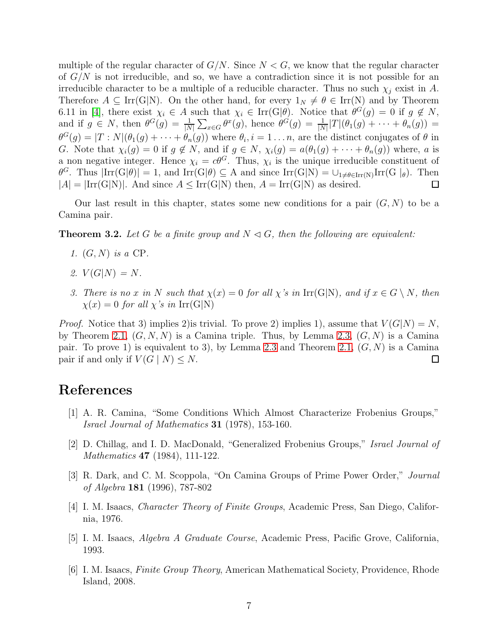multiple of the regular character of  $G/N$ . Since  $N < G$ , we know that the regular character of  $G/N$  is not irreducible, and so, we have a contradiction since it is not possible for an irreducible character to be a multiple of a reducible character. Thus no such  $\chi_i$  exist in A. Therefore  $A \subseteq \text{Irr}(G|N)$ . On the other hand, for every  $1_N \neq \theta \in \text{Irr}(N)$  and by Theorem 6.11 in [\[4\]](#page-6-1), there exist  $\chi_i \in A$  such that  $\chi_i \in \text{Irr}(\text{G}|\theta)$ . Notice that  $\theta^G(g) = 0$  if  $g \notin N$ , and if  $g \in N$ , then  $\theta^G(g) = \frac{1}{|N|} \sum_{x \in G} \theta^x(g)$ , hence  $\theta^G(g) = \frac{1}{|N|} |T| (\theta_1(g) + \cdots + \theta_n(g)) =$  $\theta^G(g) = |T:N|(\theta_1(g) + \cdots + \theta_n(g))$  where  $\theta_i, i = 1 \ldots n$ , are the distinct conjugates of  $\theta$  in G. Note that  $\chi_i(g) = 0$  if  $g \notin N$ , and if  $g \in N$ ,  $\chi_i(g) = a(\theta_1(g) + \cdots + \theta_n(g))$  where, a is a non negative integer. Hence  $\chi_i = c\theta^G$ . Thus,  $\chi_i$  is the unique irreducible constituent of  $\theta^G$ . Thus  $|\text{Irr}(G|\theta)| = 1$ , and  $\text{Irr}(G|\theta) \subseteq A$  and since  $\text{Irr}(G|N) = \bigcup_{1 \neq \theta \in \text{Irr}(N)} \text{Irr}(G|_{\theta})$ . Then  $|A| = |\text{Irr}(G|N)|$ . And since  $A \leq \text{Irr}(G|N)$  then,  $A = \text{Irr}(G|N)$  as desired.  $\Box$ 

Our last result in this chapter, states some new conditions for a pair  $(G, N)$  to be a Camina pair.

**Theorem 3.2.** Let G be a finite group and  $N \triangleleft G$ , then the following are equivalent:

- *1.* (G, N) *is a* CP*.*
- 2.  $V(G|N) = N$ .
- *3. There is no* x *in* N such that  $\chi(x) = 0$  for all  $\chi$ 's *in* Irr(G|N)*, and if*  $x \in G \setminus N$ *, then*  $\chi(x) = 0$  *for all*  $\chi$ 's *in* Irr(G|N)

*Proof.* Notice that 3) implies 2) is trivial. To prove 2) implies 1), assume that  $V(G|N) = N$ , by Theorem [2.1,](#page-2-0)  $(G, N, N)$  is a Camina triple. Thus, by Lemma [2.3,](#page-3-2)  $(G, N)$  is a Camina pair. To prove 1) is equivalent to 3), by Lemma [2.3](#page-3-2) and Theorem [2.1,](#page-2-0)  $(G, N)$  is a Camina pair if and only if  $V(G \mid N) \leq N$ .  $\Box$ 

### <span id="page-6-0"></span>References

- [1] A. R. Camina, "Some Conditions Which Almost Characterize Frobenius Groups," *Israel Journal of Mathematics* 31 (1978), 153-160.
- <span id="page-6-2"></span>[2] D. Chillag, and I. D. MacDonald, "Generalized Frobenius Groups," *Israel Journal of Mathematics* 47 (1984), 111-122.
- <span id="page-6-1"></span>[3] R. Dark, and C. M. Scoppola, "On Camina Groups of Prime Power Order," *Journal of Algebra* 181 (1996), 787-802
- [4] I. M. Isaacs, *Character Theory of Finite Groups*, Academic Press, San Diego, California, 1976.
- [5] I. M. Isaacs, *Algebra A Graduate Course*, Academic Press, Pacific Grove, California, 1993.
- [6] I. M. Isaacs, *Finite Group Theory*, American Mathematical Society, Providence, Rhode Island, 2008.